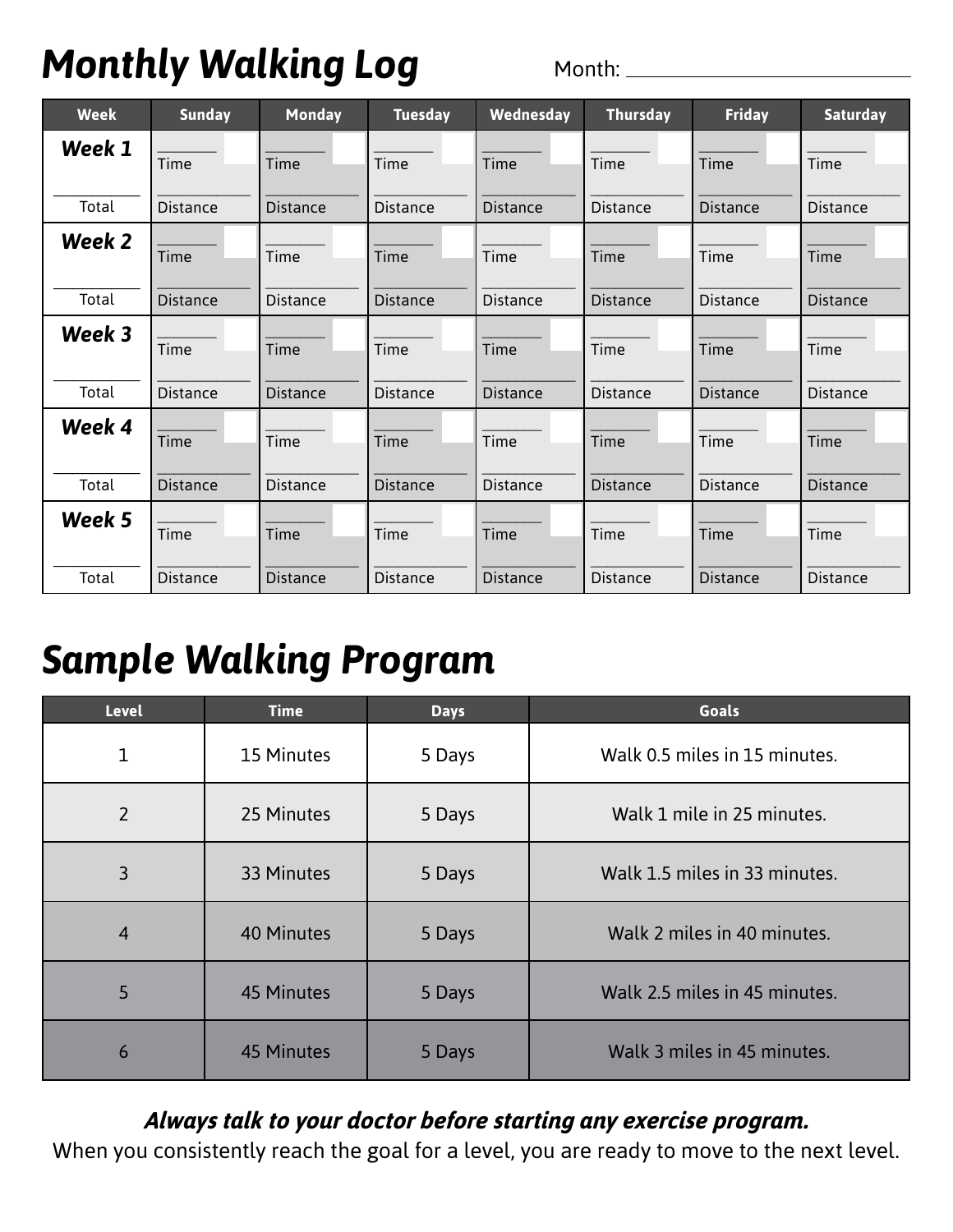## *Monthly Walking Log*

Month:

| <b>Week</b> | <b>Sunday</b>   | Monday          | <b>Tuesday</b>  | Wednesday       | Thursday        | <b>Friday</b>   | <b>Saturday</b> |
|-------------|-----------------|-----------------|-----------------|-----------------|-----------------|-----------------|-----------------|
| Week 1      | Time            | Time            | Time            | Time            | Time            | Time            | Time            |
| Total       | <b>Distance</b> | <b>Distance</b> | <b>Distance</b> | <b>Distance</b> | <b>Distance</b> | <b>Distance</b> | <b>Distance</b> |
| Week 2      | Time            | Time            | Time            | Time            | Time            | Time            | Time            |
| Total       | <b>Distance</b> | <b>Distance</b> | <b>Distance</b> | <b>Distance</b> | <b>Distance</b> | <b>Distance</b> | <b>Distance</b> |
| Week 3      | Time            | Time            | Time            | Time            | Time            | Time            | Time            |
| Total       | <b>Distance</b> | <b>Distance</b> | <b>Distance</b> | <b>Distance</b> | <b>Distance</b> | <b>Distance</b> | <b>Distance</b> |
| Week 4      | Time            | Time            | Time            | Time            | Time            | Time            | Time            |
| Total       | <b>Distance</b> | <b>Distance</b> | <b>Distance</b> | <b>Distance</b> | <b>Distance</b> | <b>Distance</b> | <b>Distance</b> |
| Week 5      | Time            | Time            | Time            | Time            | Time            | Time            | Time            |
| Total       | <b>Distance</b> | <b>Distance</b> | <b>Distance</b> | <b>Distance</b> | <b>Distance</b> | <b>Distance</b> | <b>Distance</b> |

## *Sample Walking Program*

| <b>Level</b>   | <b>Time</b>       | <b>Days</b> | <b>Goals</b>                  |
|----------------|-------------------|-------------|-------------------------------|
| 1              | 15 Minutes        | 5 Days      | Walk 0.5 miles in 15 minutes. |
| $\overline{2}$ | 25 Minutes        | 5 Days      | Walk 1 mile in 25 minutes.    |
| 3              | 33 Minutes        | 5 Days      | Walk 1.5 miles in 33 minutes. |
| $\overline{4}$ | <b>40 Minutes</b> | 5 Days      | Walk 2 miles in 40 minutes.   |
| 5              | <b>45 Minutes</b> | 5 Days      | Walk 2.5 miles in 45 minutes. |
| 6              | <b>45 Minutes</b> | 5 Days      | Walk 3 miles in 45 minutes.   |

#### *Always talk to your doctor before starting any exercise program.*

When you consistently reach the goal for a level, you are ready to move to the next level.